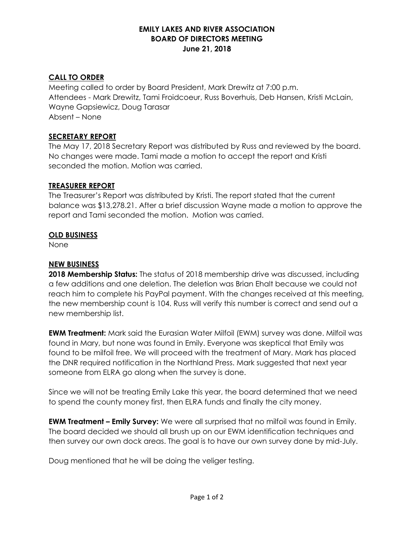# **EMILY LAKES AND RIVER ASSOCIATION BOARD OF DIRECTORS MEETING June 21, 2018**

# **CALL TO ORDER**

Meeting called to order by Board President, Mark Drewitz at 7:00 p.m. Attendees - Mark Drewitz, Tami Froidcoeur, Russ Boverhuis, Deb Hansen, Kristi McLain, Wayne Gapsiewicz, Doug Tarasar Absent – None

# **SECRETARY REPORT**

The May 17, 2018 Secretary Report was distributed by Russ and reviewed by the board. No changes were made. Tami made a motion to accept the report and Kristi seconded the motion. Motion was carried.

#### **TREASURER REPORT**

The Treasurer's Report was distributed by Kristi. The report stated that the current balance was \$13,278.21. After a brief discussion Wayne made a motion to approve the report and Tami seconded the motion. Motion was carried.

#### **OLD BUSINESS**

None

## **NEW BUSINESS**

**2018 Membership Status:** The status of 2018 membership drive was discussed, including a few additions and one deletion. The deletion was Brian Ehalt because we could not reach him to complete his PayPal payment. With the changes received at this meeting, the new membership count is 104. Russ will verify this number is correct and send out a new membership list.

**EWM Treatment:** Mark said the Eurasian Water Milfoil (EWM) survey was done. Milfoil was found in Mary, but none was found in Emily. Everyone was skeptical that Emily was found to be milfoil free. We will proceed with the treatment of Mary. Mark has placed the DNR required notification in the Northland Press. Mark suggested that next year someone from ELRA go along when the survey is done.

Since we will not be treating Emily Lake this year, the board determined that we need to spend the county money first, then ELRA funds and finally the city money.

**EWM Treatment – Emily Survey:** We were all surprised that no milfoil was found in Emily. The board decided we should all brush up on our EWM identification techniques and then survey our own dock areas. The goal is to have our own survey done by mid-July.

Doug mentioned that he will be doing the veliger testing.